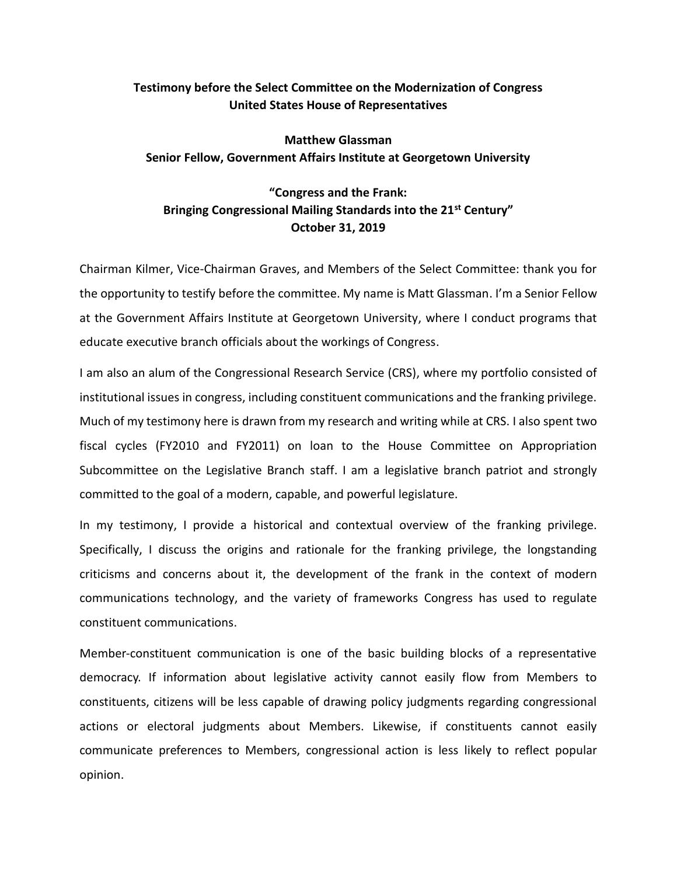# **Testimony before the Select Committee on the Modernization of Congress United States House of Representatives**

# **Matthew Glassman Senior Fellow, Government Affairs Institute at Georgetown University**

# **"Congress and the Frank: Bringing Congressional Mailing Standards into the 21st Century" October 31, 2019**

Chairman Kilmer, Vice-Chairman Graves, and Members of the Select Committee: thank you for the opportunity to testify before the committee. My name is Matt Glassman. I'm a Senior Fellow at the Government Affairs Institute at Georgetown University, where I conduct programs that educate executive branch officials about the workings of Congress.

I am also an alum of the Congressional Research Service (CRS), where my portfolio consisted of institutional issues in congress, including constituent communications and the franking privilege. Much of my testimony here is drawn from my research and writing while at CRS. I also spent two fiscal cycles (FY2010 and FY2011) on loan to the House Committee on Appropriation Subcommittee on the Legislative Branch staff. I am a legislative branch patriot and strongly committed to the goal of a modern, capable, and powerful legislature.

In my testimony, I provide a historical and contextual overview of the franking privilege. Specifically, I discuss the origins and rationale for the franking privilege, the longstanding criticisms and concerns about it, the development of the frank in the context of modern communications technology, and the variety of frameworks Congress has used to regulate constituent communications.

Member-constituent communication is one of the basic building blocks of a representative democracy. If information about legislative activity cannot easily flow from Members to constituents, citizens will be less capable of drawing policy judgments regarding congressional actions or electoral judgments about Members. Likewise, if constituents cannot easily communicate preferences to Members, congressional action is less likely to reflect popular opinion.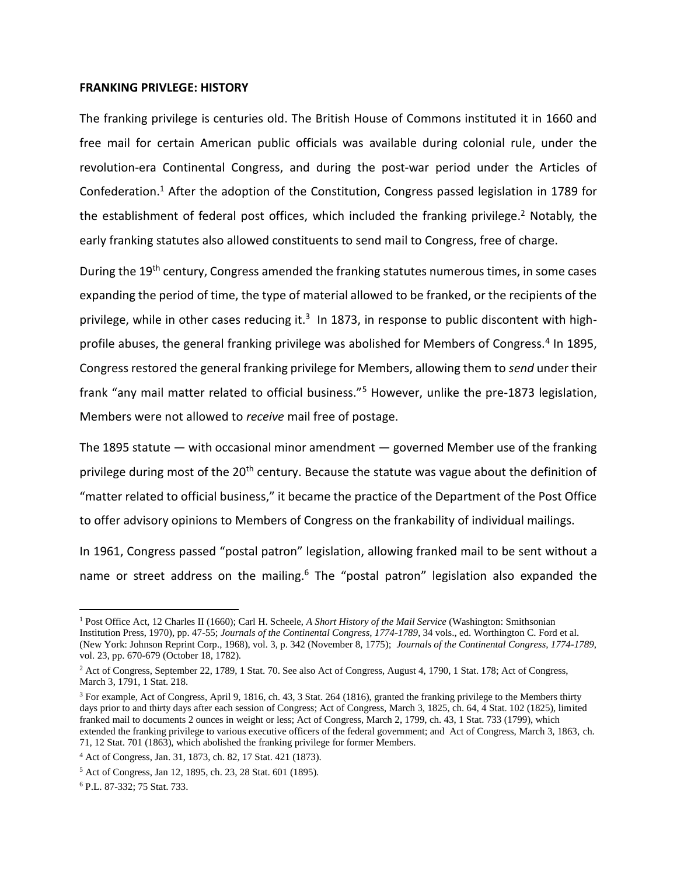#### **FRANKING PRIVLEGE: HISTORY**

The franking privilege is centuries old. The British House of Commons instituted it in 1660 and free mail for certain American public officials was available during colonial rule, under the revolution-era Continental Congress, and during the post-war period under the Articles of Confederation.<sup>1</sup> After the adoption of the Constitution, Congress passed legislation in 1789 for the establishment of federal post offices, which included the franking privilege.<sup>2</sup> Notably, the early franking statutes also allowed constituents to send mail to Congress, free of charge.

During the 19<sup>th</sup> century, Congress amended the franking statutes numerous times, in some cases expanding the period of time, the type of material allowed to be franked, or the recipients of the privilege, while in other cases reducing it.<sup>3</sup> In 1873, in response to public discontent with highprofile abuses, the general franking privilege was abolished for Members of Congress.<sup>4</sup> In 1895, Congress restored the general franking privilege for Members, allowing them to *send* under their frank "any mail matter related to official business."<sup>5</sup> However, unlike the pre-1873 legislation, Members were not allowed to *receive* mail free of postage.

The 1895 statute  $-$  with occasional minor amendment  $-$  governed Member use of the franking privilege during most of the 20<sup>th</sup> century. Because the statute was vague about the definition of "matter related to official business," it became the practice of the Department of the Post Office to offer advisory opinions to Members of Congress on the frankability of individual mailings.

In 1961, Congress passed "postal patron" legislation, allowing franked mail to be sent without a name or street address on the mailing.<sup>6</sup> The "postal patron" legislation also expanded the

l

<sup>1</sup> Post Office Act, 12 Charles II (1660); Carl H. Scheele, *A Short History of the Mail Service* (Washington: Smithsonian Institution Press, 1970), pp. 47-55; *Journals of the Continental Congress, 1774-1789*, 34 vols., ed. Worthington C. Ford et al. (New York: Johnson Reprint Corp., 1968), vol. 3, p. 342 (November 8, 1775); *Journals of the Continental Congress, 1774-1789*, vol. 23, pp. 670-679 (October 18, 1782).

<sup>2</sup> Act of Congress, September 22, 1789, 1 Stat. 70. See also Act of Congress, August 4, 1790, 1 Stat. 178; Act of Congress, March 3, 1791, 1 Stat. 218.

<sup>3</sup> For example, Act of Congress, April 9, 1816, ch. 43, 3 Stat. 264 (1816), granted the franking privilege to the Members thirty days prior to and thirty days after each session of Congress; Act of Congress, March 3, 1825, ch. 64, 4 Stat. 102 (1825), limited franked mail to documents 2 ounces in weight or less; Act of Congress, March 2, 1799, ch. 43, 1 Stat. 733 (1799), which extended the franking privilege to various executive officers of the federal government; and Act of Congress, March 3, 1863, ch. 71, 12 Stat. 701 (1863), which abolished the franking privilege for former Members.

<sup>4</sup> Act of Congress, Jan. 31, 1873, ch. 82, 17 Stat. 421 (1873).

<sup>5</sup> Act of Congress, Jan 12, 1895, ch. 23, 28 Stat. 601 (1895).

<sup>6</sup> P.L. 87-332; 75 Stat. 733.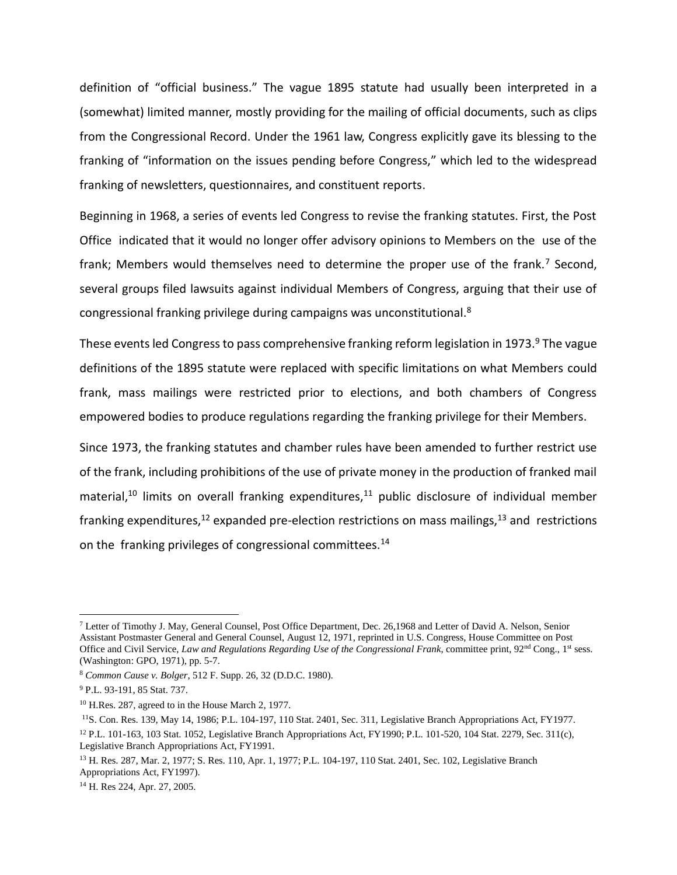definition of "official business." The vague 1895 statute had usually been interpreted in a (somewhat) limited manner, mostly providing for the mailing of official documents, such as clips from the Congressional Record. Under the 1961 law, Congress explicitly gave its blessing to the franking of "information on the issues pending before Congress," which led to the widespread franking of newsletters, questionnaires, and constituent reports.

Beginning in 1968, a series of events led Congress to revise the franking statutes. First, the Post Office indicated that it would no longer offer advisory opinions to Members on the use of the frank; Members would themselves need to determine the proper use of the frank.<sup>7</sup> Second, several groups filed lawsuits against individual Members of Congress, arguing that their use of congressional franking privilege during campaigns was unconstitutional.<sup>8</sup>

These events led Congress to pass comprehensive franking reform legislation in 1973.<sup>9</sup> The vague definitions of the 1895 statute were replaced with specific limitations on what Members could frank, mass mailings were restricted prior to elections, and both chambers of Congress empowered bodies to produce regulations regarding the franking privilege for their Members.

Since 1973, the franking statutes and chamber rules have been amended to further restrict use of the frank, including prohibitions of the use of private money in the production of franked mail material,<sup>10</sup> limits on overall franking expenditures,<sup>11</sup> public disclosure of individual member franking expenditures, $12$  expanded pre-election restrictions on mass mailings, $13$  and restrictions on the franking privileges of congressional committees.<sup>14</sup>

 $\overline{\phantom{a}}$ 

<sup>7</sup> Letter of Timothy J. May, General Counsel, Post Office Department, Dec. 26,1968 and Letter of David A. Nelson, Senior Assistant Postmaster General and General Counsel, August 12, 1971, reprinted in U.S. Congress, House Committee on Post Office and Civil Service, *Law and Regulations Regarding Use of the Congressional Frank*, committee print, 92<sup>nd</sup> Cong., 1<sup>st</sup> sess. (Washington: GPO, 1971), pp. 5-7.

<sup>8</sup> *Common Cause v. Bolger*, 512 F. Supp. 26, 32 (D.D.C. 1980).

<sup>9</sup> P.L. 93-191, 85 Stat. 737.

<sup>10</sup> H.Res. 287, agreed to in the House March 2, 1977.

<sup>&</sup>lt;sup>11</sup>S. Con. Res. 139, May 14, 1986; P.L. 104-197, 110 Stat. 2401, Sec. 311, Legislative Branch Appropriations Act, FY1977. <sup>12</sup> P.L. 101-163, 103 Stat. 1052, Legislative Branch Appropriations Act, FY1990; P.L. 101-520, 104 Stat. 2279, Sec. 311(c), Legislative Branch Appropriations Act, FY1991.

<sup>13</sup> H. Res. 287, Mar. 2, 1977; S. Res. 110, Apr. 1, 1977; P.L. 104-197, 110 Stat. 2401, Sec. 102, Legislative Branch Appropriations Act, FY1997).

<sup>14</sup> H. Res 224, Apr. 27, 2005.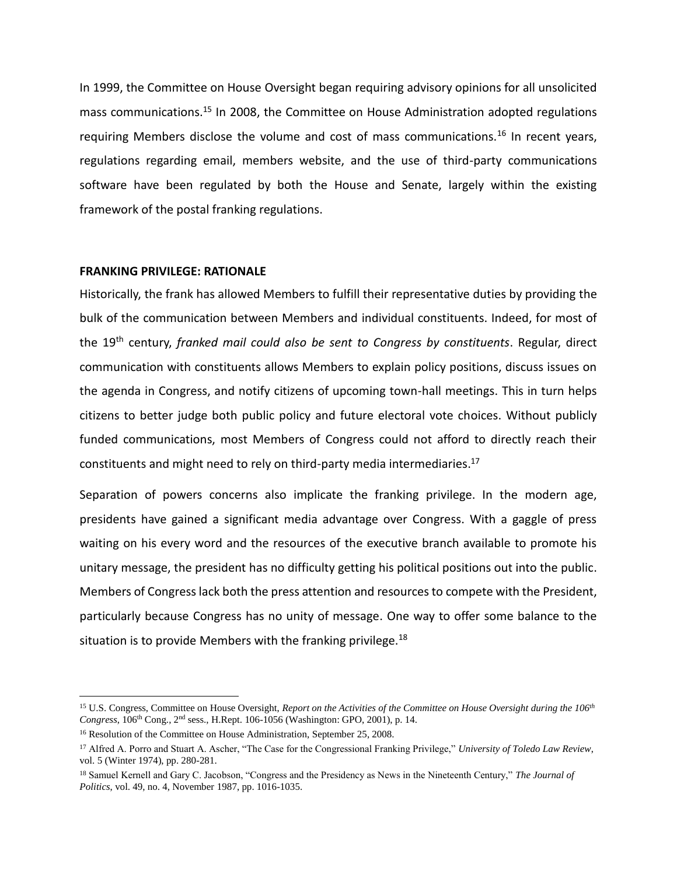In 1999, the Committee on House Oversight began requiring advisory opinions for all unsolicited mass communications.<sup>15</sup> In 2008, the Committee on House Administration adopted regulations requiring Members disclose the volume and cost of mass communications.<sup>16</sup> In recent years, regulations regarding email, members website, and the use of third-party communications software have been regulated by both the House and Senate, largely within the existing framework of the postal franking regulations.

### **FRANKING PRIVILEGE: RATIONALE**

Historically, the frank has allowed Members to fulfill their representative duties by providing the bulk of the communication between Members and individual constituents. Indeed, for most of the 19th century, *franked mail could also be sent to Congress by constituents*. Regular, direct communication with constituents allows Members to explain policy positions, discuss issues on the agenda in Congress, and notify citizens of upcoming town-hall meetings. This in turn helps citizens to better judge both public policy and future electoral vote choices. Without publicly funded communications, most Members of Congress could not afford to directly reach their constituents and might need to rely on third-party media intermediaries. $^{17}$ 

Separation of powers concerns also implicate the franking privilege. In the modern age, presidents have gained a significant media advantage over Congress. With a gaggle of press waiting on his every word and the resources of the executive branch available to promote his unitary message, the president has no difficulty getting his political positions out into the public. Members of Congress lack both the press attention and resources to compete with the President, particularly because Congress has no unity of message. One way to offer some balance to the situation is to provide Members with the franking privilege. $^{18}$ 

l

<sup>15</sup> U.S. Congress, Committee on House Oversight, *Report on the Activities of the Committee on House Oversight during the 106th Congress*, 106th Cong., 2nd sess., [H.Rept. 106-1056](http://www.congress.gov/cgi-lis/cpquery/R?cp106:FLD010:@1(hr1056):) (Washington: GPO, 2001), p. 14.

<sup>&</sup>lt;sup>16</sup> Resolution of the Committee on House Administration, September 25, 2008.

<sup>17</sup> Alfred A. Porro and Stuart A. Ascher, "The Case for the Congressional Franking Privilege," *University of Toledo Law Review*, vol. 5 (Winter 1974), pp. 280-281.

<sup>18</sup> Samuel Kernell and Gary C. Jacobson, "Congress and the Presidency as News in the Nineteenth Century," *The Journal of Politics*, vol. 49, no. 4, November 1987, pp. 1016-1035.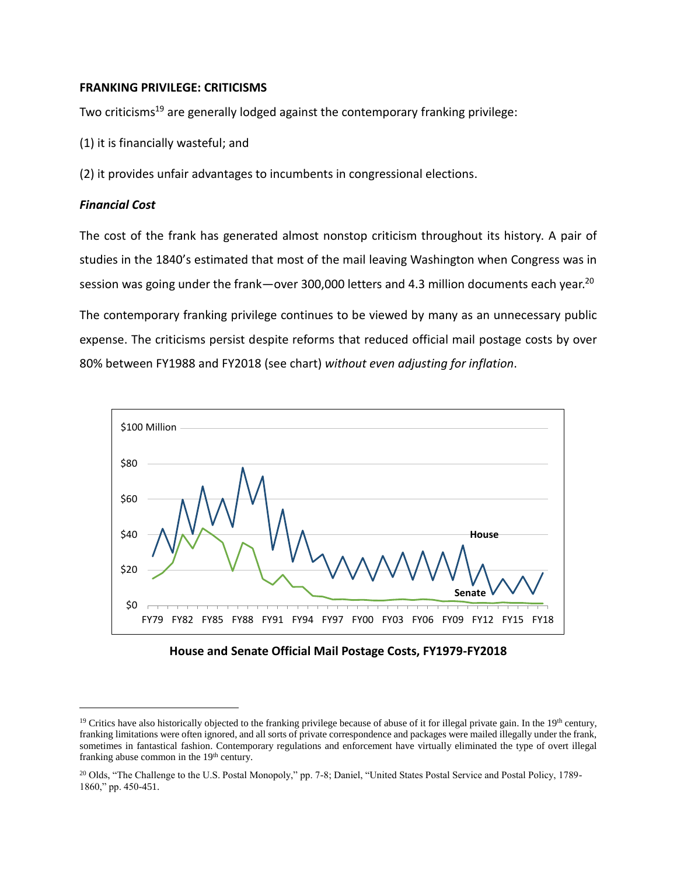# **FRANKING PRIVILEGE: CRITICISMS**

Two criticisms<sup>19</sup> are generally lodged against the contemporary franking privilege:

- (1) it is financially wasteful; and
- (2) it provides unfair advantages to incumbents in congressional elections.

# *Financial Cost*

 $\overline{a}$ 

The cost of the frank has generated almost nonstop criticism throughout its history. A pair of studies in the 1840's estimated that most of the mail leaving Washington when Congress was in session was going under the frank—over 300,000 letters and 4.3 million documents each year.<sup>20</sup>

The contemporary franking privilege continues to be viewed by many as an unnecessary public expense. The criticisms persist despite reforms that reduced official mail postage costs by over 80% between FY1988 and FY2018 (see chart) *without even adjusting for inflation*.



**House and Senate Official Mail Postage Costs, FY1979-FY2018**

<sup>&</sup>lt;sup>19</sup> Critics have also historically objected to the franking privilege because of abuse of it for illegal private gain. In the  $19<sup>th</sup>$  century, franking limitations were often ignored, and all sorts of private correspondence and packages were mailed illegally under the frank, sometimes in fantastical fashion. Contemporary regulations and enforcement have virtually eliminated the type of overt illegal franking abuse common in the 19<sup>th</sup> century.

<sup>&</sup>lt;sup>20</sup> Olds, "The Challenge to the U.S. Postal Monopoly," pp. 7-8; Daniel, "United States Postal Service and Postal Policy, 1789-1860," pp. 450-451.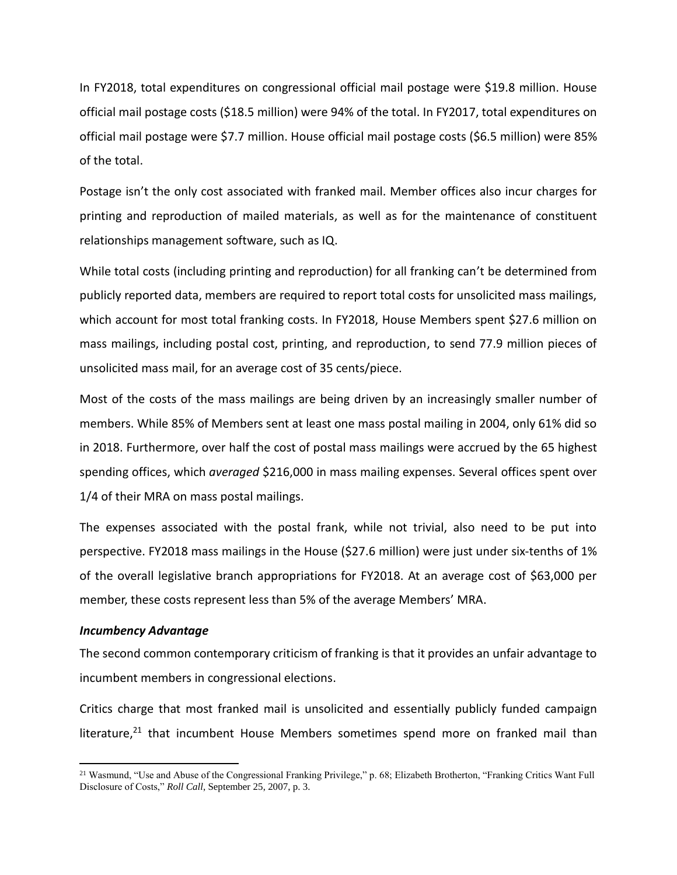In FY2018, total expenditures on congressional official mail postage were \$19.8 million. House official mail postage costs (\$18.5 million) were 94% of the total. In FY2017, total expenditures on official mail postage were \$7.7 million. House official mail postage costs (\$6.5 million) were 85% of the total.

Postage isn't the only cost associated with franked mail. Member offices also incur charges for printing and reproduction of mailed materials, as well as for the maintenance of constituent relationships management software, such as IQ.

While total costs (including printing and reproduction) for all franking can't be determined from publicly reported data, members are required to report total costs for unsolicited mass mailings, which account for most total franking costs. In FY2018, House Members spent \$27.6 million on mass mailings, including postal cost, printing, and reproduction, to send 77.9 million pieces of unsolicited mass mail, for an average cost of 35 cents/piece.

Most of the costs of the mass mailings are being driven by an increasingly smaller number of members. While 85% of Members sent at least one mass postal mailing in 2004, only 61% did so in 2018. Furthermore, over half the cost of postal mass mailings were accrued by the 65 highest spending offices, which *averaged* \$216,000 in mass mailing expenses. Several offices spent over 1/4 of their MRA on mass postal mailings.

The expenses associated with the postal frank, while not trivial, also need to be put into perspective. FY2018 mass mailings in the House (\$27.6 million) were just under six-tenths of 1% of the overall legislative branch appropriations for FY2018. At an average cost of \$63,000 per member, these costs represent less than 5% of the average Members' MRA.

### *Incumbency Advantage*

 $\overline{\phantom{a}}$ 

The second common contemporary criticism of franking is that it provides an unfair advantage to incumbent members in congressional elections.

Critics charge that most franked mail is unsolicited and essentially publicly funded campaign literature,<sup>21</sup> that incumbent House Members sometimes spend more on franked mail than

<sup>21</sup> Wasmund, "Use and Abuse of the Congressional Franking Privilege," p. 68; Elizabeth Brotherton, "Franking Critics Want Full Disclosure of Costs," *Roll Call*, September 25, 2007, p. 3.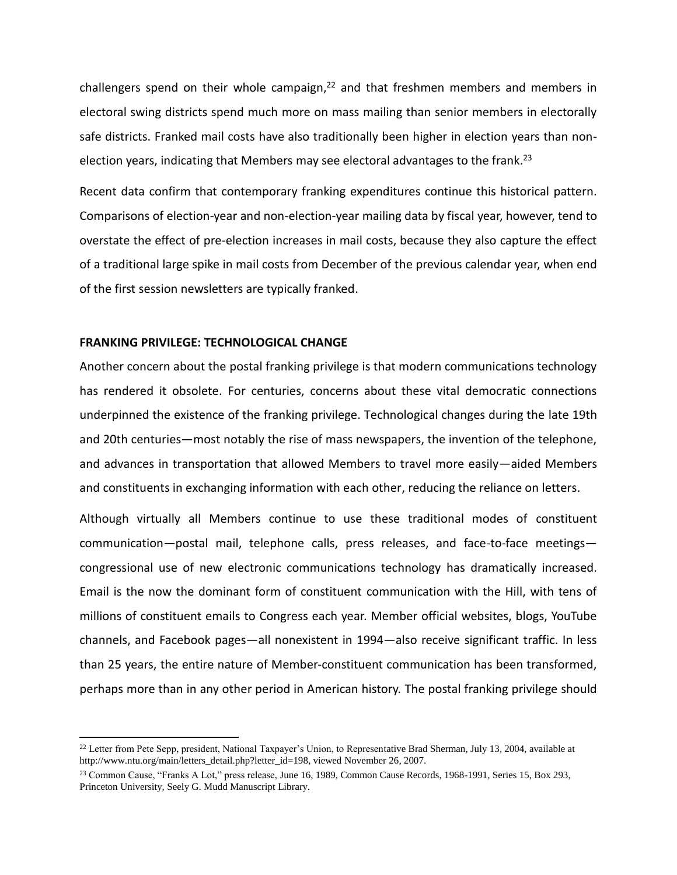challengers spend on their whole campaign,<sup>22</sup> and that freshmen members and members in electoral swing districts spend much more on mass mailing than senior members in electorally safe districts. Franked mail costs have also traditionally been higher in election years than nonelection years, indicating that Members may see electoral advantages to the frank.<sup>23</sup>

Recent data confirm that contemporary franking expenditures continue this historical pattern. Comparisons of election-year and non-election-year mailing data by fiscal year, however, tend to overstate the effect of pre-election increases in mail costs, because they also capture the effect of a traditional large spike in mail costs from December of the previous calendar year, when end of the first session newsletters are typically franked.

### **FRANKING PRIVILEGE: TECHNOLOGICAL CHANGE**

 $\overline{a}$ 

Another concern about the postal franking privilege is that modern communications technology has rendered it obsolete. For centuries, concerns about these vital democratic connections underpinned the existence of the franking privilege. Technological changes during the late 19th and 20th centuries—most notably the rise of mass newspapers, the invention of the telephone, and advances in transportation that allowed Members to travel more easily—aided Members and constituents in exchanging information with each other, reducing the reliance on letters.

Although virtually all Members continue to use these traditional modes of constituent communication—postal mail, telephone calls, press releases, and face-to-face meetings congressional use of new electronic communications technology has dramatically increased. Email is the now the dominant form of constituent communication with the Hill, with tens of millions of constituent emails to Congress each year. Member official websites, blogs, YouTube channels, and Facebook pages—all nonexistent in 1994—also receive significant traffic. In less than 25 years, the entire nature of Member-constituent communication has been transformed, perhaps more than in any other period in American history. The postal franking privilege should

<sup>&</sup>lt;sup>22</sup> Letter from Pete Sepp, president, National Taxpayer's Union, to Representative Brad Sherman, July 13, 2004, available at [http://www.ntu.org/main/letters\\_detail.php?letter\\_id=198,](http://www.ntu.org/main/letters_detail.php?letter_id=198) viewed November 26, 2007.

<sup>23</sup> Common Cause, "Franks A Lot," press release, June 16, 1989, Common Cause Records, 1968-1991, Series 15, Box 293, Princeton University, Seely G. Mudd Manuscript Library.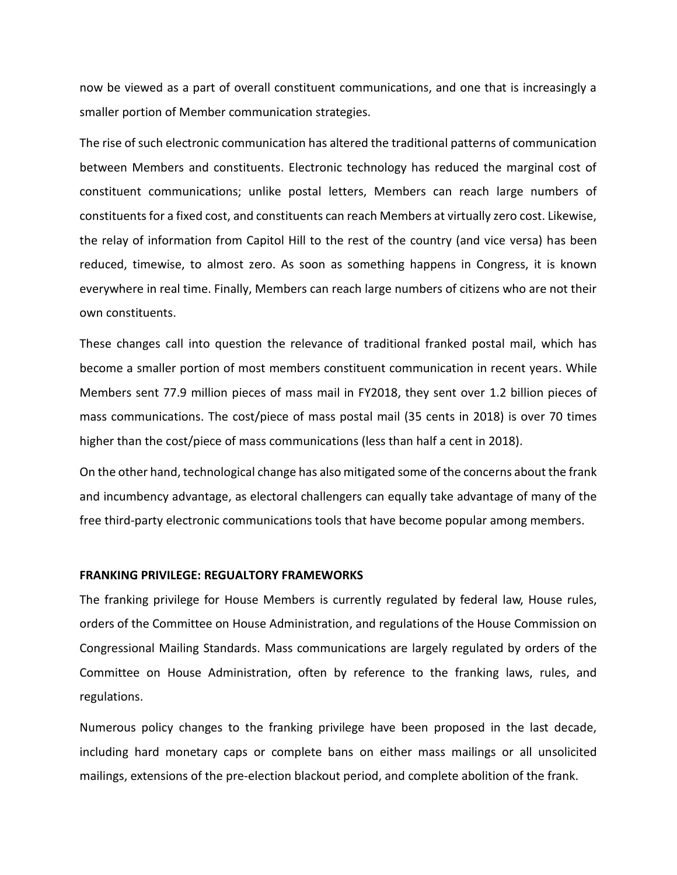now be viewed as a part of overall constituent communications, and one that is increasingly a smaller portion of Member communication strategies.

The rise of such electronic communication has altered the traditional patterns of communication between Members and constituents. Electronic technology has reduced the marginal cost of constituent communications; unlike postal letters, Members can reach large numbers of constituents for a fixed cost, and constituents can reach Members at virtually zero cost. Likewise, the relay of information from Capitol Hill to the rest of the country (and vice versa) has been reduced, timewise, to almost zero. As soon as something happens in Congress, it is known everywhere in real time. Finally, Members can reach large numbers of citizens who are not their own constituents.

These changes call into question the relevance of traditional franked postal mail, which has become a smaller portion of most members constituent communication in recent years. While Members sent 77.9 million pieces of mass mail in FY2018, they sent over 1.2 billion pieces of mass communications. The cost/piece of mass postal mail (35 cents in 2018) is over 70 times higher than the cost/piece of mass communications (less than half a cent in 2018).

On the other hand, technological change has also mitigated some of the concerns about the frank and incumbency advantage, as electoral challengers can equally take advantage of many of the free third-party electronic communications tools that have become popular among members.

#### **FRANKING PRIVILEGE: REGUALTORY FRAMEWORKS**

The franking privilege for House Members is currently regulated by federal law, House rules, orders of the Committee on House Administration, and regulations of the House Commission on Congressional Mailing Standards. Mass communications are largely regulated by orders of the Committee on House Administration, often by reference to the franking laws, rules, and regulations.

Numerous policy changes to the franking privilege have been proposed in the last decade, including hard monetary caps or complete bans on either mass mailings or all unsolicited mailings, extensions of the pre-election blackout period, and complete abolition of the frank.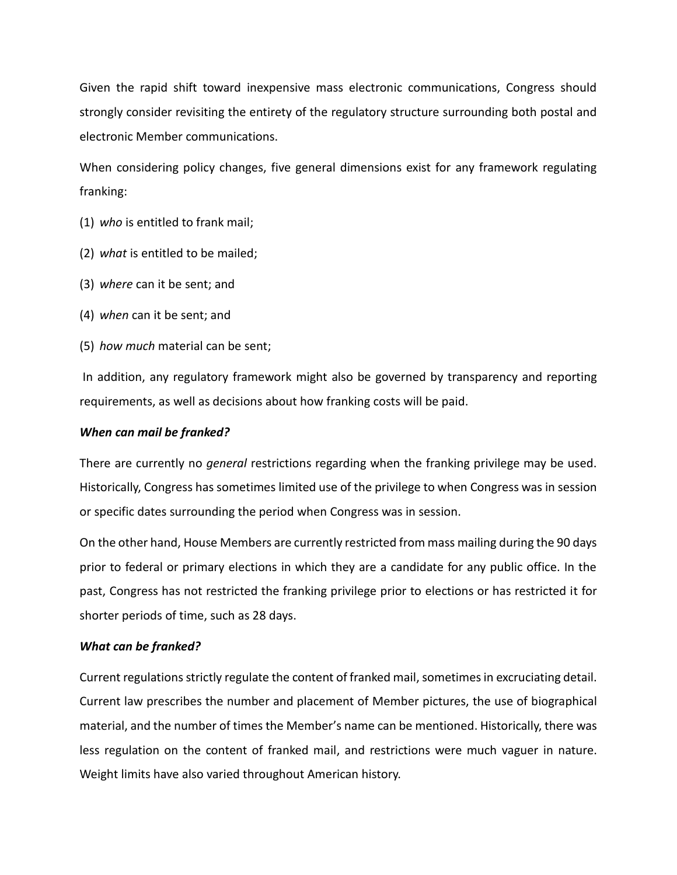Given the rapid shift toward inexpensive mass electronic communications, Congress should strongly consider revisiting the entirety of the regulatory structure surrounding both postal and electronic Member communications.

When considering policy changes, five general dimensions exist for any framework regulating franking:

- (1) *who* is entitled to frank mail;
- (2) *what* is entitled to be mailed;
- (3) *where* can it be sent; and
- (4) *when* can it be sent; and
- (5) *how much* material can be sent;

In addition, any regulatory framework might also be governed by transparency and reporting requirements, as well as decisions about how franking costs will be paid.

## *When can mail be franked?*

There are currently no *general* restrictions regarding when the franking privilege may be used. Historically, Congress has sometimes limited use of the privilege to when Congress was in session or specific dates surrounding the period when Congress was in session.

On the other hand, House Members are currently restricted from mass mailing during the 90 days prior to federal or primary elections in which they are a candidate for any public office. In the past, Congress has not restricted the franking privilege prior to elections or has restricted it for shorter periods of time, such as 28 days.

## *What can be franked?*

Current regulations strictly regulate the content of franked mail, sometimes in excruciating detail. Current law prescribes the number and placement of Member pictures, the use of biographical material, and the number of times the Member's name can be mentioned. Historically, there was less regulation on the content of franked mail, and restrictions were much vaguer in nature. Weight limits have also varied throughout American history.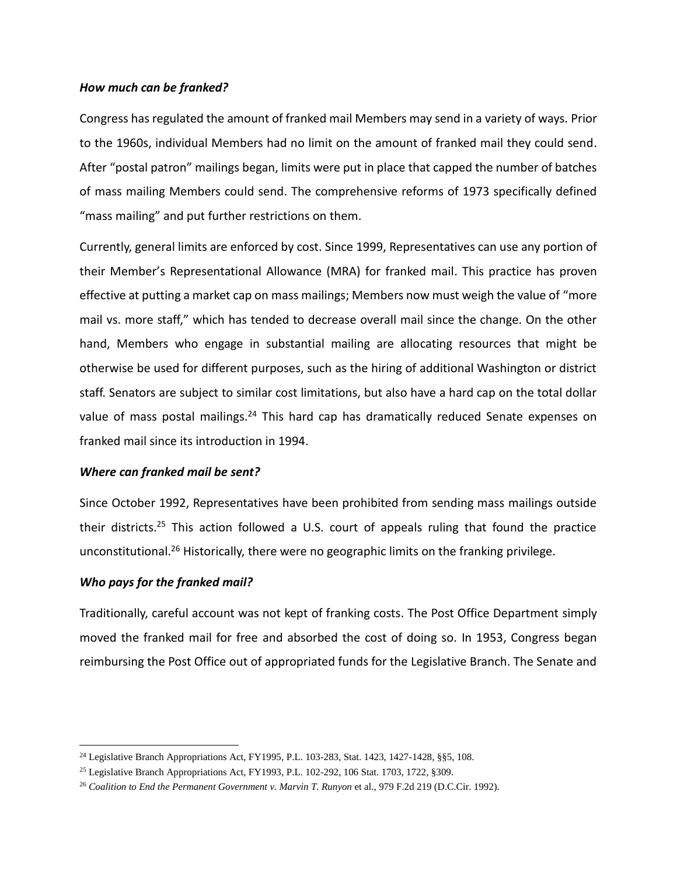### *How much can be franked?*

Congress has regulated the amount of franked mail Members may send in a variety of ways. Prior to the 1960s, individual Members had no limit on the amount of franked mail they could send. After "postal patron" mailings began, limits were put in place that capped the number of batches of mass mailing Members could send. The comprehensive reforms of 1973 specifically defined "mass mailing" and put further restrictions on them.

Currently, general limits are enforced by cost. Since 1999, Representatives can use any portion of their Member's Representational Allowance (MRA) for franked mail. This practice has proven effective at putting a market cap on mass mailings; Members now must weigh the value of "more mail vs. more staff," which has tended to decrease overall mail since the change. On the other hand, Members who engage in substantial mailing are allocating resources that might be otherwise be used for different purposes, such as the hiring of additional Washington or district staff. Senators are subject to similar cost limitations, but also have a hard cap on the total dollar value of mass postal mailings.<sup>24</sup> This hard cap has dramatically reduced Senate expenses on franked mail since its introduction in 1994.

# *Where can franked mail be sent?*

Since October 1992, Representatives have been prohibited from sending mass mailings outside their districts.<sup>25</sup> This action followed a U.S. court of appeals ruling that found the practice unconstitutional.<sup>26</sup> Historically, there were no geographic limits on the franking privilege.

# *Who pays for the franked mail?*

 $\overline{\phantom{a}}$ 

Traditionally, careful account was not kept of franking costs. The Post Office Department simply moved the franked mail for free and absorbed the cost of doing so. In 1953, Congress began reimbursing the Post Office out of appropriated funds for the Legislative Branch. The Senate and

<sup>24</sup> Legislative Branch Appropriations Act, FY1995, [P.L. 103-283,](http://www.congress.gov/cgi-lis/bdquery/R?d103:FLD002:@1(103+283)) Stat. 1423, 1427-1428, §§5, 108.

<sup>25</sup> Legislative Branch Appropriations Act, FY1993, [P.L. 102-292,](http://www.congress.gov/cgi-lis/bdquery/R?d102:FLD002:@1(102+292)) 106 Stat. 1703, 1722, §309.

<sup>26</sup> *Coalition to End the Permanent Government v. Marvin T. Runyon* et al., 979 F.2d 219 (D.C.Cir. 1992).